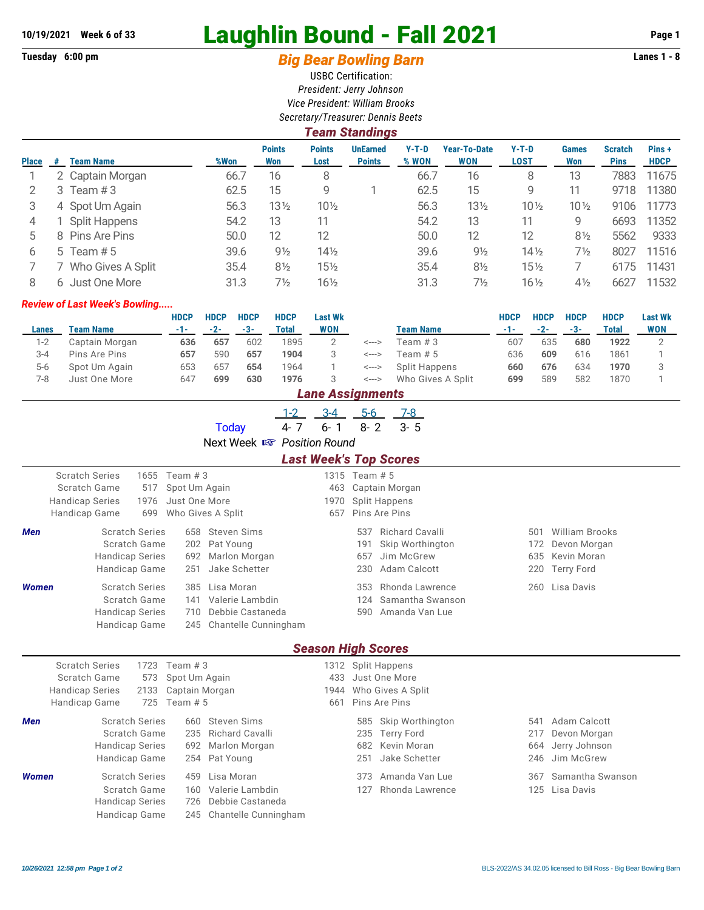# **10/19/2021 Week 6 of 33 Laughlin Bound - Fall 2021 Page 1**

## Tuesday 6:00 pm **Big Bear Bowling Barn Barn Lanes 1 - 8**

USBC Certification: *President: Jerry Johnson Vice President: William Brooks Secretary/Treasurer: Dennis Beets*

|              | <b>Team Standings</b> |                   |      |                      |                       |                                  |                  |                                   |                        |                     |                               |                      |  |  |
|--------------|-----------------------|-------------------|------|----------------------|-----------------------|----------------------------------|------------------|-----------------------------------|------------------------|---------------------|-------------------------------|----------------------|--|--|
| <b>Place</b> | #                     | <b>Team Name</b>  | %Won | <b>Points</b><br>Won | <b>Points</b><br>Lost | <b>UnEarned</b><br><b>Points</b> | $Y-T-D$<br>% WON | <b>Year-To-Date</b><br><b>WON</b> | $Y-T-D$<br><b>LOST</b> | <b>Games</b><br>Won | <b>Scratch</b><br><b>Pins</b> | Pins+<br><b>HDCP</b> |  |  |
|              |                       | 2 Captain Morgan  | 66.7 | 16                   | 8                     |                                  | 66.7             | 16                                | 8                      | 13                  | 7883                          | 11675                |  |  |
|              | 3                     | Team $#3$         | 62.5 | 15                   | 9                     |                                  | 62.5             | 15                                | 9                      | 11                  | 9718                          | 11380                |  |  |
| 3            |                       | 4 Spot Um Again   | 56.3 | $13\frac{1}{2}$      | $10\%$                |                                  | 56.3             | 131/2                             | $10\frac{1}{2}$        | $10\%$              | 9106                          | 11773                |  |  |
| 4            |                       | Split Happens     | 54.2 | 13                   | 11                    |                                  | 54.2             | 13                                | 11                     | 9                   | 6693                          | 11352                |  |  |
| 5            |                       | 8 Pins Are Pins   | 50.0 | 12                   | 12                    |                                  | 50.0             | 12                                | 12                     | $8\frac{1}{2}$      | 5562                          | 9333                 |  |  |
| 6            |                       | 5 Team $# 5$      | 39.6 | $9\frac{1}{2}$       | $14\frac{1}{2}$       |                                  | 39.6             | $9\frac{1}{2}$                    | $14\frac{1}{2}$        | 7½                  | 8027                          | 11516                |  |  |
|              |                       | Who Gives A Split | 35.4 | $8\frac{1}{2}$       | $15\frac{1}{2}$       |                                  | 35.4             | $8\frac{1}{2}$                    | $15\%$                 |                     | 6175                          | 11431                |  |  |
| 8            |                       | 6 Just One More   | 31.3 | $7\frac{1}{2}$       | $16\frac{1}{2}$       |                                  | 31.3             | $7\frac{1}{2}$                    | $16\frac{1}{2}$        | $4\frac{1}{2}$      | 6627                          | 1532                 |  |  |

#### *Review of Last Week's Bowling.....*

|         |                   | <b>HDCP</b> | <b>HDCP</b> | <b>HDCP</b> | <b>HDCP</b> | <b>Last Wk</b> |                  |                      | <b>HDCP</b> | <b>HDCP</b> | <b>HDCP</b> | <b>HDCP</b> | <b>Last Wk</b> |
|---------|-------------------|-------------|-------------|-------------|-------------|----------------|------------------|----------------------|-------------|-------------|-------------|-------------|----------------|
| Lanes   | Team Name         | -1-1        | $-2-$       | $-3-$       | Total       | <b>WON</b>     | <b>Team Name</b> |                      | $-1-$       | $-2-$       | $-3-$       | Total       | <b>WON</b>     |
| 1-2     | Captain Morgan    | 636         | 657         | 602         | 1895        |                | <--->            | Team #3              | 607         | 635         | 680         | 1922        |                |
| $3 - 4$ | Pins Are Pins     | 657         | 590         | 657         | 1904        |                | <--->            | Team # 5             | 636         | 609         | 616         | 1861        |                |
| $5-6$   | Spot Um Again     | 653         | 657         | 654         | 1964        |                | <--->            | <b>Split Happens</b> | 660         | 676         | 634         | 1970        |                |
| 7-8     | Just One More     | 647         | 699         | 630         | 1976        |                | <--->            | Who Gives A Split    | 699         | 589         | 582         | 1870        |                |
|         | I ana Accianmante |             |             |             |             |                |                  |                      |             |             |             |             |                |

| <i>Lane Assignments</i> |                                                                                                                                                                                    |                                                            |                                                                               |                                          |                                     |                                                                           |                          |                                                                           |  |  |  |  |  |  |
|-------------------------|------------------------------------------------------------------------------------------------------------------------------------------------------------------------------------|------------------------------------------------------------|-------------------------------------------------------------------------------|------------------------------------------|-------------------------------------|---------------------------------------------------------------------------|--------------------------|---------------------------------------------------------------------------|--|--|--|--|--|--|
|                         |                                                                                                                                                                                    |                                                            | <b>Today</b><br>Next Week I Position Round                                    | $3 - 4$<br>$1 - 2$<br>$4 - 7$<br>$6 - 1$ | 5-6<br>$8 - 2$                      | 7-8<br>$3 - 5$                                                            |                          |                                                                           |  |  |  |  |  |  |
|                         | <b>Last Week's Top Scores</b>                                                                                                                                                      |                                                            |                                                                               |                                          |                                     |                                                                           |                          |                                                                           |  |  |  |  |  |  |
|                         | <b>Scratch Series</b><br>1655<br>Team $#3$<br>Scratch Game<br>517<br>Spot Um Again<br>Just One More<br><b>Handicap Series</b><br>1976<br>Handicap Game<br>699<br>Who Gives A Split |                                                            |                                                                               |                                          | 1315 Team # 5<br>463<br>1970<br>657 | Captain Morgan<br><b>Split Happens</b><br>Pins Are Pins                   |                          |                                                                           |  |  |  |  |  |  |
| <b>Men</b>              | <b>Scratch Series</b><br>Scratch Game<br><b>Handicap Series</b><br>Handicap Game                                                                                                   | 692<br>251                                                 | 658 Steven Sims<br>202 Pat Young<br>Marlon Morgan<br>Jake Schetter            |                                          | 537<br>191<br>657<br>230            | <b>Richard Cavalli</b><br>Skip Worthington<br>Jim McGrew<br>Adam Calcott  | 501<br>172<br>635<br>220 | <b>William Brooks</b><br>Devon Morgan<br>Kevin Moran<br><b>Terry Ford</b> |  |  |  |  |  |  |
| <b>Women</b>            | <b>Scratch Series</b><br><b>Scratch Game</b><br><b>Handicap Series</b><br>Handicap Game                                                                                            | 385<br>141<br>710                                          | Lisa Moran<br>Valerie Lambdin<br>Debbie Castaneda<br>245 Chantelle Cunningham |                                          | 353<br>124<br>590                   | Rhonda Lawrence<br>Samantha Swanson<br>Amanda Van Lue                     |                          | 260 Lisa Davis                                                            |  |  |  |  |  |  |
|                         |                                                                                                                                                                                    |                                                            |                                                                               | <b>Season High Scores</b>                |                                     |                                                                           |                          |                                                                           |  |  |  |  |  |  |
|                         | <b>Scratch Series</b><br>1723<br>573<br>Scratch Game<br><b>Handicap Series</b><br>2133<br>725<br>Handicap Game                                                                     | Team $#3$<br>Spot Um Again<br>Captain Morgan<br>Team $# 5$ |                                                                               | 433<br>1944<br>661                       |                                     | 1312 Split Happens<br>Just One More<br>Who Gives A Split<br>Pins Are Pins |                          |                                                                           |  |  |  |  |  |  |
| Men                     | <b>Scratch Series</b><br>Scratch Game<br><b>Handicap Series</b><br>Handicap Game                                                                                                   | 660<br>235<br>692<br>254                                   | Steven Sims<br>Richard Cavalli<br>Marlon Morgan<br>Pat Young                  |                                          | 585<br>235<br>682<br>251            | Skip Worthington<br><b>Terry Ford</b><br>Kevin Moran<br>Jake Schetter     | 541<br>217<br>664<br>246 | Adam Calcott<br>Devon Morgan<br>Jerry Johnson<br>Jim McGrew               |  |  |  |  |  |  |
| <b>Women</b>            | <b>Scratch Series</b><br>Scratch Game<br><b>Handicap Series</b><br>Handicap Game                                                                                                   | 459<br>160<br>726<br>245                                   | Lisa Moran<br>Valerie Lambdin<br>Debbie Castaneda<br>Chantelle Cunningham     |                                          | 373<br>127                          | Amanda Van Lue<br>Rhonda Lawrence                                         | 367                      | Samantha Swanson<br>125 Lisa Davis                                        |  |  |  |  |  |  |